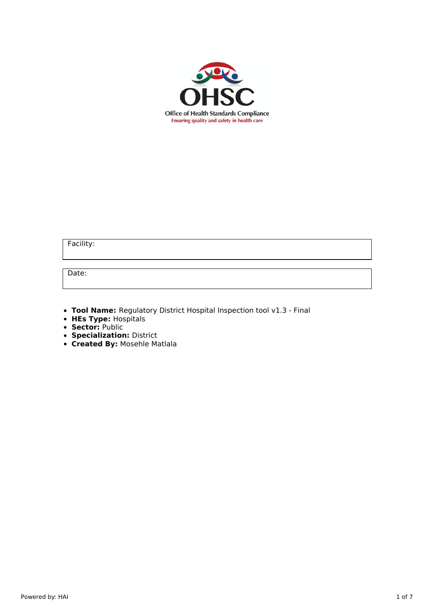

Facility:

Date:

**Tool Name:** Regulatory District Hospital Inspection tool v1.3 - Final

- **HEs Type:** Hospitals
- **Sector:** Public
- **Specialization:** District
- **Created By:** Mosehle Matlala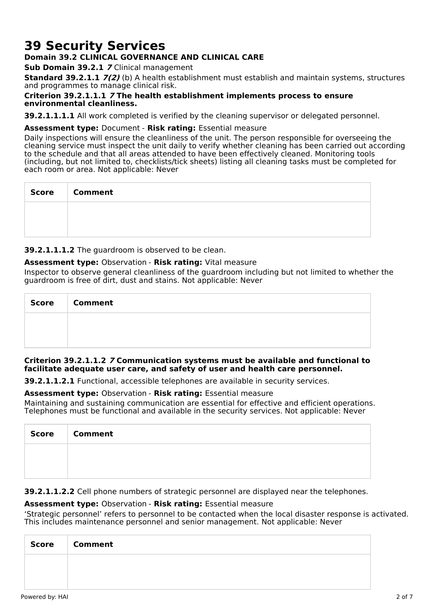# **39 Security Services**

# **Domain 39.2 CLINICAL GOVERNANCE AND CLINICAL CARE**

**Sub Domain 39.2.1 7** Clinical management

**Standard 39.2.1.1 7(2)** (b) A health establishment must establish and maintain systems, structures and programmes to manage clinical risk.

## **Criterion 39.2.1.1.1 7 The health establishment implements process to ensure environmental cleanliness.**

**39.2.1.1.1.1** All work completed is verified by the cleaning supervisor or delegated personnel.

## **Assessment type:** Document - **Risk rating:** Essential measure

Daily inspections will ensure the cleanliness of the unit. The person responsible for overseeing the cleaning service must inspect the unit daily to verify whether cleaning has been carried out according to the schedule and that all areas attended to have been effectively cleaned. Monitoring tools (including, but not limited to, checklists/tick sheets) listing all cleaning tasks must be completed for each room or area. Not applicable: Never

| Score   Comment |
|-----------------|
|                 |
|                 |

**39.2.1.1.1.2** The guardroom is observed to be clean.

## **Assessment type:** Observation - **Risk rating:** Vital measure

Inspector to observe general cleanliness of the guardroom including but not limited to whether the guardroom is free of dirt, dust and stains. Not applicable: Never

| Score   Comment |
|-----------------|
|                 |
|                 |

### **Criterion 39.2.1.1.2 7 Communication systems must be available and functional to facilitate adequate user care, and safety of user and health care personnel.**

**39.2.1.1.2.1** Functional, accessible telephones are available in security services.

### **Assessment type:** Observation - **Risk rating:** Essential measure

Maintaining and sustaining communication are essential for effective and efficient operations. Telephones must be functional and available in the security services. Not applicable: Never

| <b>Score</b> | <b>Comment</b> |
|--------------|----------------|
|              |                |
|              |                |

**39.2.1.1.2.2** Cell phone numbers of strategic personnel are displayed near the telephones.

# **Assessment type:** Observation - **Risk rating:** Essential measure

'Strategic personnel' refers to personnel to be contacted when the local disaster response is activated. This includes maintenance personnel and senior management. Not applicable: Never

| <b>Score</b> | <b>Comment</b> |
|--------------|----------------|
|              |                |
|              |                |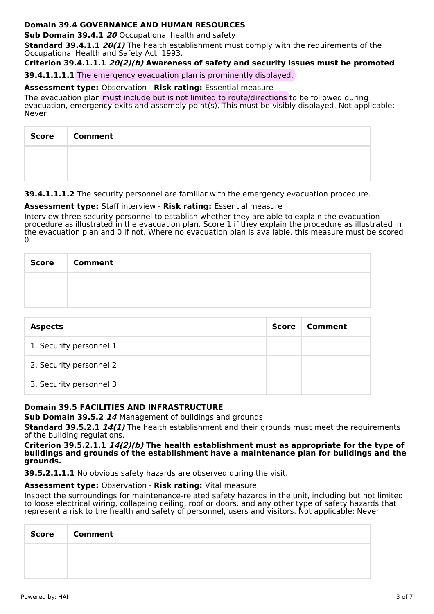# **Domain 39.4 GOVERNANCE AND HUMAN RESOURCES**

**Sub Domain 39.4.1 20** Occupational health and safety

**Standard 39.4.1.1 20(1)** The health establishment must comply with the requirements of the Occupational Health and Safety Act, 1993.

**Criterion 39.4.1.1.1 20(2)(b) Awareness of safety and security issues must be promoted**

**39.4.1.1.1.1** The emergency evacuation plan is prominently displayed.

**Assessment type:** Observation - **Risk rating:** Essential measure

The evacuation plan must include but is not limited to route/directions to be followed during evacuation, emergency exits and assembly point(s). This must be visibly displayed. Not applicable: Never

| Score   Comment |
|-----------------|
|                 |
|                 |

**39.4.1.1.1.2** The security personnel are familiar with the emergency evacuation procedure.

# **Assessment type:** Staff interview - **Risk rating:** Essential measure

Interview three security personnel to establish whether they are able to explain the evacuation procedure as illustrated in the evacuation plan. Score 1 if they explain the procedure as illustrated in the evacuation plan and 0 if not. Where no evacuation plan is available, this measure must be scored  $\Omega$ .

| <b>Score</b> | <b>Comment</b> |
|--------------|----------------|
|              |                |
|              |                |

| <b>Aspects</b>          | Score | Comment |
|-------------------------|-------|---------|
| 1. Security personnel 1 |       |         |
| 2. Security personnel 2 |       |         |
| 3. Security personnel 3 |       |         |

# **Domain 39.5 FACILITIES AND INFRASTRUCTURE**

**Sub Domain 39.5.2 14** Management of buildings and grounds

**Standard 39.5.2.1 14(1)** The health establishment and their grounds must meet the requirements of the building regulations.

**Criterion 39.5.2.1.1 14(2)(b) The health establishment must as appropriate for the type of buildings and grounds of the establishment have a maintenance plan for buildings and the grounds.**

**39.5.2.1.1.1** No obvious safety hazards are observed during the visit.

# **Assessment type:** Observation - **Risk rating:** Vital measure

Inspect the surroundings for maintenance-related safety hazards in the unit, including but not limited to loose electrical wiring, collapsing ceiling, roof or doors. and any other type of safety hazards that represent a risk to the health and safety of personnel, users and visitors. Not applicable: Never

| <b>Score</b> | <b>Comment</b> |
|--------------|----------------|
|              |                |
|              |                |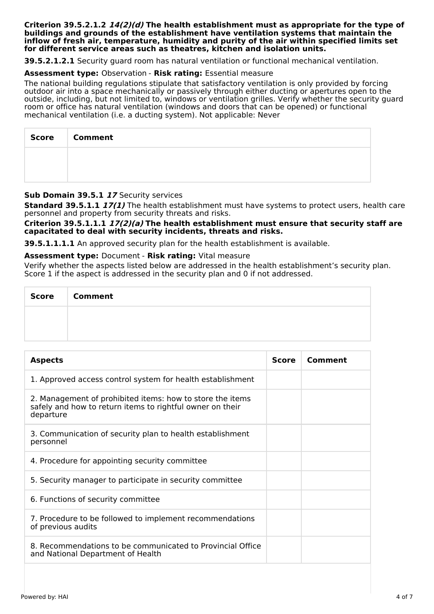#### **Criterion 39.5.2.1.2 14(2)(d) The health establishment must as appropriate for the type of buildings and grounds of the establishment have ventilation systems that maintain the inflow of fresh air, temperature, humidity and purity of the air within specified limits set for different service areas such as theatres, kitchen and isolation units.**

**39.5.2.1.2.1** Security guard room has natural ventilation or functional mechanical ventilation.

### **Assessment type:** Observation - **Risk rating:** Essential measure

The national building regulations stipulate that satisfactory ventilation is only provided by forcing outdoor air into a space mechanically or passively through either ducting or apertures open to the outside, including, but not limited to, windows or ventilation grilles. Verify whether the security guard room or office has natural ventilation (windows and doors that can be opened) or functional mechanical ventilation (i.e. a ducting system). Not applicable: Never

| <b>Score</b> | <b>Comment</b> |
|--------------|----------------|
|              |                |
|              |                |

## **Sub Domain 39.5.1 17** Security services

**Standard 39.5.1.1 17(1)** The health establishment must have systems to protect users, health care personnel and property from security threats and risks.

**Criterion 39.5.1.1.1 17(2)(a) The health establishment must ensure that security staff are capacitated to deal with security incidents, threats and risks.**

**39.5.1.1.1.1** An approved security plan for the health establishment is available.

#### **Assessment type:** Document - **Risk rating:** Vital measure

Verify whether the aspects listed below are addressed in the health establishment's security plan. Score 1 if the aspect is addressed in the security plan and 0 if not addressed.

| <b>Score</b> | <b>Comment</b> |
|--------------|----------------|
|              |                |
|              |                |

| <b>Aspects</b>                                                                                                                      |  | Comment |
|-------------------------------------------------------------------------------------------------------------------------------------|--|---------|
| 1. Approved access control system for health establishment                                                                          |  |         |
| 2. Management of prohibited items: how to store the items<br>safely and how to return items to rightful owner on their<br>departure |  |         |
| 3. Communication of security plan to health establishment<br>personnel                                                              |  |         |
| 4. Procedure for appointing security committee                                                                                      |  |         |
| 5. Security manager to participate in security committee                                                                            |  |         |
| 6. Functions of security committee                                                                                                  |  |         |
| 7. Procedure to be followed to implement recommendations<br>of previous audits                                                      |  |         |
| 8. Recommendations to be communicated to Provincial Office<br>and National Department of Health                                     |  |         |
|                                                                                                                                     |  |         |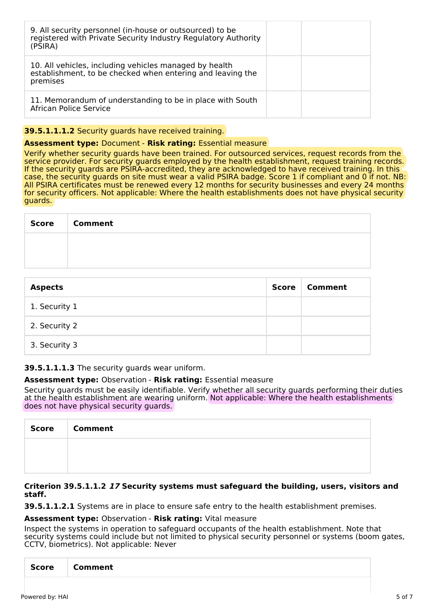| 9. All security personnel (in-house or outsourced) to be<br>registered with Private Security Industry Regulatory Authority<br>(PSIRA) |
|---------------------------------------------------------------------------------------------------------------------------------------|
| 10. All vehicles, including vehicles managed by health<br>establishment, to be checked when entering and leaving the<br>premises      |
| 11. Memorandum of understanding to be in place with South<br>African Police Service                                                   |

# **39.5.1.1.1.2** Security guards have received training.

## **Assessment type:** Document - **Risk rating:** Essential measure

Verify whether security guards have been trained. For outsourced services, request records from the service provider. For security guards employed by the health establishment, request training records. If the security guards are PSIRA-accredited, they are acknowledged to have received training. In this case, the security guards on site must wear a valid PSIRA badge. Score 1 if compliant and 0 if not. NB: All PSIRA certificates must be renewed every 12 months for security businesses and every 24 months for security officers. Not applicable: Where the health establishments does not have physical security guards.

| Score   Comment |
|-----------------|
|                 |
|                 |

| <b>Aspects</b> | <b>Score</b> | Comment |
|----------------|--------------|---------|
| 1. Security 1  |              |         |
| 2. Security 2  |              |         |
| 3. Security 3  |              |         |

**39.5.1.1.1.3** The security guards wear uniform.

### **Assessment type:** Observation - **Risk rating:** Essential measure

Security guards must be easily identifiable. Verify whether all security guards performing their duties at the health establishment are wearing uniform. Not applicable: Where the health establishments does not have physical security guards.

| <b>Score</b> | <b>Comment</b> |
|--------------|----------------|
|              |                |
|              |                |

### **Criterion 39.5.1.1.2 17 Security systems must safeguard the building, users, visitors and staff.**

**39.5.1.1.2.1** Systems are in place to ensure safe entry to the health establishment premises.

### **Assessment type:** Observation - **Risk rating:** Vital measure

Inspect the systems in operation to safeguard occupants of the health establishment. Note that security systems could include but not limited to physical security personnel or systems (boom gates, CCTV, biometrics). Not applicable: Never

| <b>Score</b> |
|--------------|
|--------------|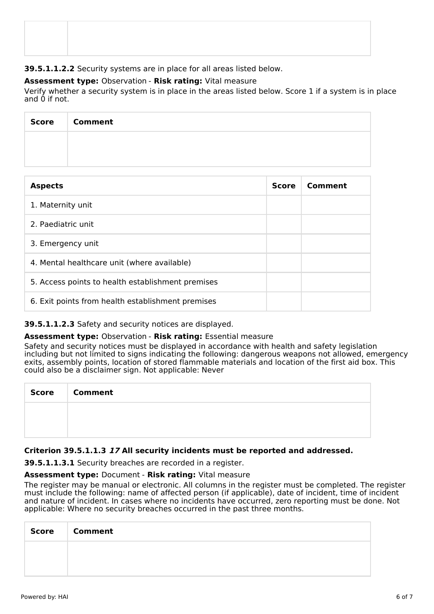**39.5.1.1.2.2** Security systems are in place for all areas listed below.

# **Assessment type:** Observation - **Risk rating:** Vital measure

Verify whether a security system is in place in the areas listed below. Score 1 if a system is in place and 0 if not.

| Score | <b>Comment</b> |
|-------|----------------|
|       |                |
|       |                |

| <b>Aspects</b>                                    |  | Comment |
|---------------------------------------------------|--|---------|
| 1. Maternity unit                                 |  |         |
| 2. Paediatric unit                                |  |         |
| 3. Emergency unit                                 |  |         |
| 4. Mental healthcare unit (where available)       |  |         |
| 5. Access points to health establishment premises |  |         |
| 6. Exit points from health establishment premises |  |         |

# **39.5.1.1.2.3** Safety and security notices are displayed.

# **Assessment type:** Observation - **Risk rating:** Essential measure

Safety and security notices must be displayed in accordance with health and safety legislation including but not limited to signs indicating the following: dangerous weapons not allowed, emergency exits, assembly points, location of stored flammable materials and location of the first aid box. This could also be a disclaimer sign. Not applicable: Never

| <b>Score</b> | <b>Comment</b> |
|--------------|----------------|
|              |                |
|              |                |

# **Criterion 39.5.1.1.3 17 All security incidents must be reported and addressed.**

**39.5.1.1.3.1** Security breaches are recorded in a register.

# **Assessment type:** Document - **Risk rating:** Vital measure

The register may be manual or electronic. All columns in the register must be completed. The register must include the following: name of affected person (if applicable), date of incident, time of incident and nature of incident. In cases where no incidents have occurred, zero reporting must be done. Not applicable: Where no security breaches occurred in the past three months.

| <b>Score</b> | <b>Comment</b> |
|--------------|----------------|
|              |                |
|              |                |